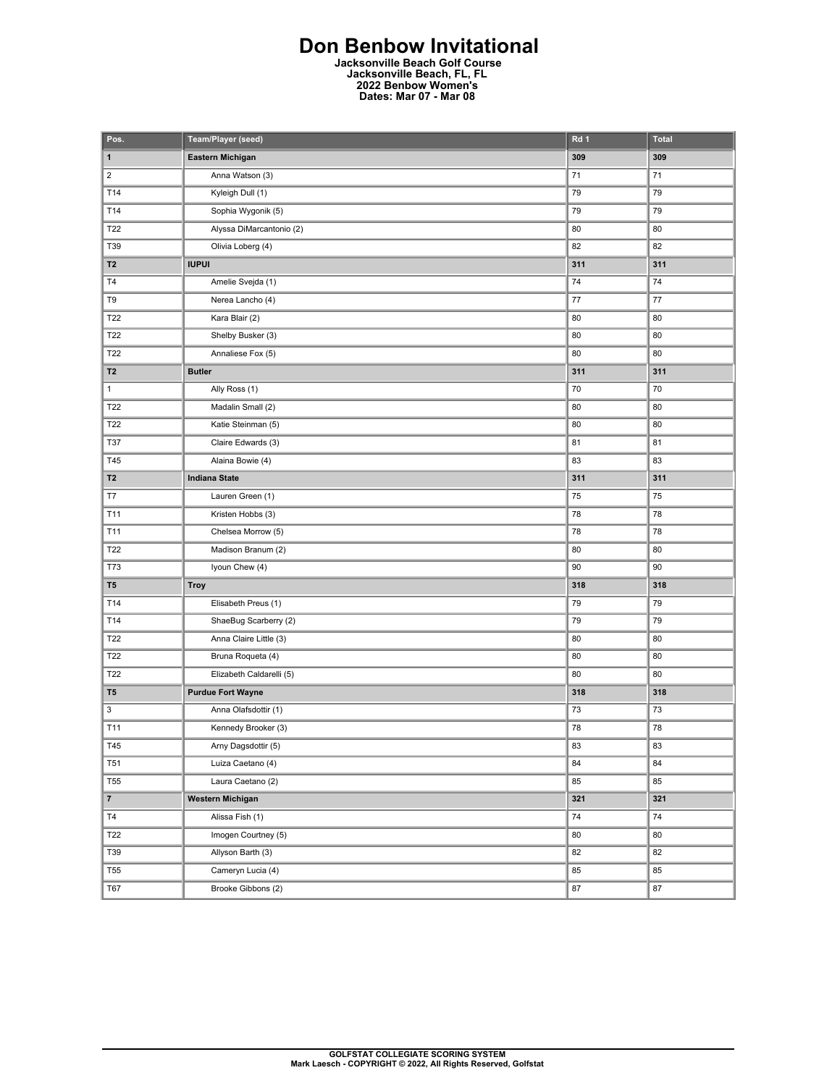## **Don Benbow Invitational**

**Jacksonville Beach Golf Course Jacksonville Beach, FL, FL 2022 Benbow Women's Dates: Mar 07 - Mar 08** 

| Pos.                    | Team/Player (seed)       | Rd 1 | <b>Total</b> |
|-------------------------|--------------------------|------|--------------|
| $\mathbf 1$             | Eastern Michigan         | 309  | 309          |
| $\overline{\mathbf{c}}$ | Anna Watson (3)          | 71   | 71           |
| T14                     | Kyleigh Dull (1)         | 79   | 79           |
| T14                     | Sophia Wygonik (5)       | 79   | 79           |
| T22                     | Alyssa DiMarcantonio (2) | 80   | 80           |
| T39                     | Olivia Loberg (4)        | 82   | 82           |
| T <sub>2</sub>          | <b>IUPUI</b>             | 311  | 311          |
| T4                      | Amelie Svejda (1)        | 74   | 74           |
| T9                      | Nerea Lancho (4)         | 77   | $77 \,$      |
| T22                     | Kara Blair (2)           | 80   | 80           |
| T22                     | Shelby Busker (3)        | 80   | 80           |
| T22                     | Annaliese Fox (5)        | 80   | 80           |
| T <sub>2</sub>          | <b>Butler</b>            | 311  | 311          |
| $\mathbf{1}$            | Ally Ross (1)            | 70   | 70           |
| T22                     | Madalin Small (2)        | 80   | 80           |
| T22                     | Katie Steinman (5)       | 80   | 80           |
| <b>T37</b>              | Claire Edwards (3)       | 81   | 81           |
| T45                     | Alaina Bowie (4)         | 83   | 83           |
| <b>T2</b>               | <b>Indiana State</b>     | 311  | 311          |
| T7                      | Lauren Green (1)         | 75   | 75           |
| T11                     | Kristen Hobbs (3)        | 78   | 78           |
| T11                     | Chelsea Morrow (5)       | 78   | 78           |
| T22                     | Madison Branum (2)       | 80   | 80           |
| T73                     | Iyoun Chew (4)           | 90   | 90           |
| T <sub>5</sub>          | <b>Troy</b>              | 318  | 318          |
| T14                     | Elisabeth Preus (1)      | 79   | 79           |
| T14                     | ShaeBug Scarberry (2)    | 79   | 79           |
| T22                     | Anna Claire Little (3)   | 80   | 80           |
| T22                     | Bruna Roqueta (4)        | 80   | 80           |
| T22                     | Elizabeth Caldarelli (5) | 80   | 80           |
| T <sub>5</sub>          | <b>Purdue Fort Wayne</b> | 318  | 318          |
| 3                       | Anna Olafsdottir (1)     | 73   | 73           |
| T11                     | Kennedy Brooker (3)      | 78   | 78           |
| T45                     | Arny Dagsdottir (5)      | 83   | 83           |
| T <sub>51</sub>         | Luiza Caetano (4)        | 84   | 84           |
| <b>T55</b>              | Laura Caetano (2)        | 85   | 85           |
| $\mathbf{7}$            | <b>Western Michigan</b>  | 321  | 321          |
| $\mathsf{T4}$           | Alissa Fish (1)          | 74   | 74           |
| T22                     | Imogen Courtney (5)      | 80   | 80           |
| T39                     | Allyson Barth (3)        | 82   | 82           |
| <b>T55</b>              | Cameryn Lucia (4)        | 85   | 85           |
| T67                     | Brooke Gibbons (2)       | 87   | 87           |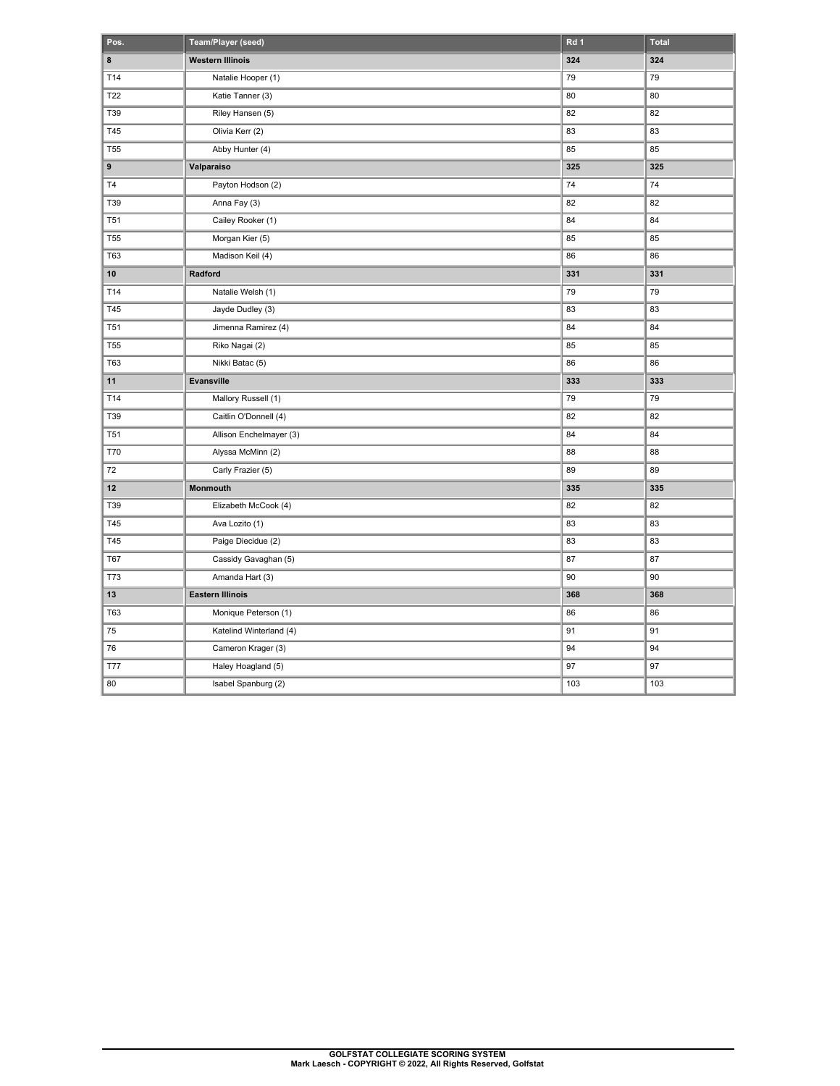| Pos.       | Team/Player (seed)      | Rd 1 | <b>Total</b> |
|------------|-------------------------|------|--------------|
| 8          | <b>Western Illinois</b> | 324  | 324          |
| T14        | Natalie Hooper (1)      | 79   | 79           |
| T22        | Katie Tanner (3)        | 80   | 80           |
| T39        | Riley Hansen (5)        | 82   | 82           |
| T45        | Olivia Kerr (2)         | 83   | 83           |
| <b>T55</b> | Abby Hunter (4)         | 85   | 85           |
| 9          | Valparaiso              | 325  | 325          |
| T4         | Payton Hodson (2)       | 74   | 74           |
| T39        | Anna Fay (3)            | 82   | 82           |
| <b>T51</b> | Cailey Rooker (1)       | 84   | 84           |
| <b>T55</b> | Morgan Kier (5)         | 85   | 85           |
| T63        | Madison Keil (4)        | 86   | 86           |
| 10         | Radford                 | 331  | 331          |
| T14        | Natalie Welsh (1)       | 79   | 79           |
| T45        | Jayde Dudley (3)        | 83   | 83           |
| <b>T51</b> | Jimenna Ramirez (4)     | 84   | 84           |
| <b>T55</b> | Riko Nagai (2)          | 85   | 85           |
| <b>T63</b> | Nikki Batac (5)         | 86   | 86           |
| 11         | Evansville              | 333  | 333          |
| T14        | Mallory Russell (1)     | 79   | 79           |
| T39        | Caitlin O'Donnell (4)   | 82   | 82           |
| <b>T51</b> | Allison Enchelmayer (3) | 84   | 84           |
| <b>T70</b> | Alyssa McMinn (2)       | 88   | 88           |
| 72         | Carly Frazier (5)       | 89   | 89           |
| 12         | Monmouth                | 335  | 335          |
| T39        | Elizabeth McCook (4)    | 82   | 82           |
| T45        | Ava Lozito (1)          | 83   | 83           |
| T45        | Paige Diecidue (2)      | 83   | 83           |
| T67        | Cassidy Gavaghan (5)    | 87   | 87           |
| <b>T73</b> | Amanda Hart (3)         | 90   | 90           |
| 13         | <b>Eastern Illinois</b> | 368  | 368          |
| <b>T63</b> | Monique Peterson (1)    | 86   | 86           |
| 75         | Katelind Winterland (4) | 91   | 91           |
| 76         | Cameron Krager (3)      | 94   | 94           |
| <b>T77</b> | Haley Hoagland (5)      | 97   | 97           |
| 80         | Isabel Spanburg (2)     | 103  | 103          |